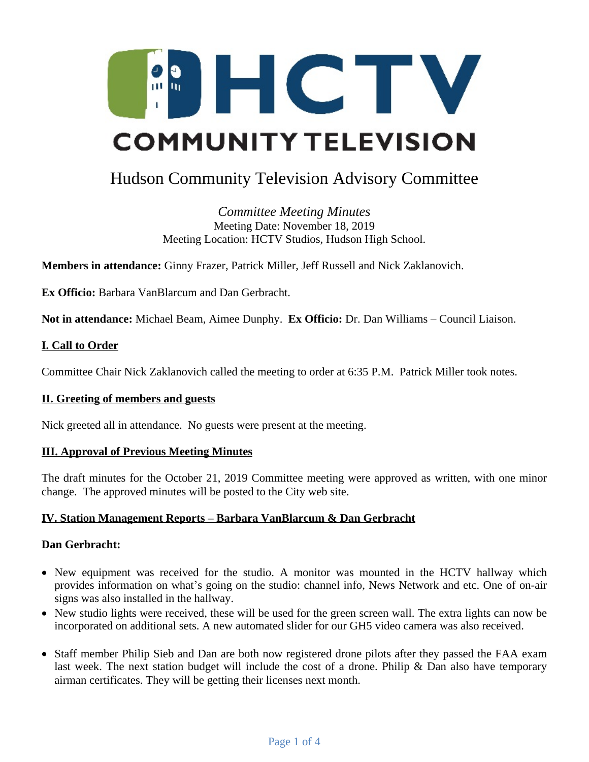

# Hudson Community Television Advisory Committee

*Committee Meeting Minutes* Meeting Date: November 18, 2019 Meeting Location: HCTV Studios, Hudson High School.

**Members in attendance:** Ginny Frazer, Patrick Miller, Jeff Russell and Nick Zaklanovich.

**Ex Officio:** Barbara VanBlarcum and Dan Gerbracht.

**Not in attendance:** Michael Beam, Aimee Dunphy. **Ex Officio:** Dr. Dan Williams – Council Liaison.

## **I. Call to Order**

Committee Chair Nick Zaklanovich called the meeting to order at 6:35 P.M. Patrick Miller took notes.

#### **II. Greeting of members and guests**

Nick greeted all in attendance. No guests were present at the meeting.

#### **III. Approval of Previous Meeting Minutes**

The draft minutes for the October 21, 2019 Committee meeting were approved as written, with one minor change. The approved minutes will be posted to the City web site.

#### **IV. Station Management Reports – Barbara VanBlarcum & Dan Gerbracht**

#### **Dan Gerbracht:**

- New equipment was received for the studio. A monitor was mounted in the HCTV hallway which provides information on what's going on the studio: channel info, News Network and etc. One of on-air signs was also installed in the hallway.
- New studio lights were received, these will be used for the green screen wall. The extra lights can now be incorporated on additional sets. A new automated slider for our GH5 video camera was also received.
- Staff member Philip Sieb and Dan are both now registered drone pilots after they passed the FAA exam last week. The next station budget will include the cost of a drone. Philip & Dan also have temporary airman certificates. They will be getting their licenses next month.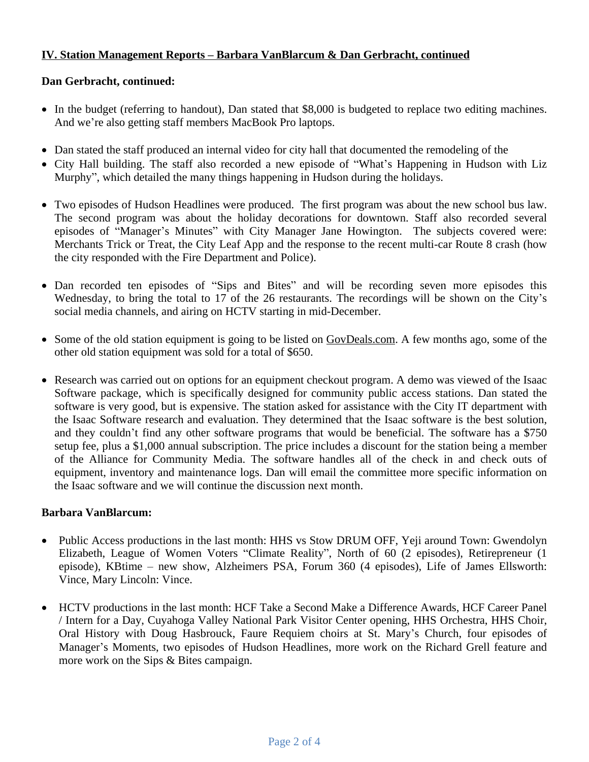## **IV. Station Management Reports – Barbara VanBlarcum & Dan Gerbracht, continued**

### **Dan Gerbracht, continued:**

- In the budget (referring to handout), Dan stated that \$8,000 is budgeted to replace two editing machines. And we're also getting staff members MacBook Pro laptops.
- Dan stated the staff produced an internal video for city hall that documented the remodeling of the
- City Hall building. The staff also recorded a new episode of "What's Happening in Hudson with Liz Murphy", which detailed the many things happening in Hudson during the holidays.
- Two episodes of Hudson Headlines were produced. The first program was about the new school bus law. The second program was about the holiday decorations for downtown. Staff also recorded several episodes of "Manager's Minutes" with City Manager Jane Howington. The subjects covered were: Merchants Trick or Treat, the City Leaf App and the response to the recent multi-car Route 8 crash (how the city responded with the Fire Department and Police).
- Dan recorded ten episodes of "Sips and Bites" and will be recording seven more episodes this Wednesday, to bring the total to 17 of the 26 restaurants. The recordings will be shown on the City's social media channels, and airing on HCTV starting in mid-December.
- Some of the old station equipment is going to be listed on [GovDeals.com.](http://GovDeals.com/) A few months ago, some of the other old station equipment was sold for a total of \$650.
- Research was carried out on options for an equipment checkout program. A demo was viewed of the Isaac Software package, which is specifically designed for community public access stations. Dan stated the software is very good, but is expensive. The station asked for assistance with the City IT department with the Isaac Software research and evaluation. They determined that the Isaac software is the best solution, and they couldn't find any other software programs that would be beneficial. The software has a \$750 setup fee, plus a \$1,000 annual subscription. The price includes a discount for the station being a member of the Alliance for Community Media. The software handles all of the check in and check outs of equipment, inventory and maintenance logs. Dan will email the committee more specific information on the Isaac software and we will continue the discussion next month.

#### **Barbara VanBlarcum:**

- Public Access productions in the last month: HHS vs Stow DRUM OFF, Yeji around Town: Gwendolyn Elizabeth, League of Women Voters "Climate Reality", North of 60 (2 episodes), Retirepreneur (1 episode), KBtime – new show, Alzheimers PSA, Forum 360 (4 episodes), Life of James Ellsworth: Vince, Mary Lincoln: Vince.
- HCTV productions in the last month: HCF Take a Second Make a Difference Awards, HCF Career Panel / Intern for a Day, Cuyahoga Valley National Park Visitor Center opening, HHS Orchestra, HHS Choir, Oral History with Doug Hasbrouck, Faure Requiem choirs at St. Mary's Church, four episodes of Manager's Moments, two episodes of Hudson Headlines, more work on the Richard Grell feature and more work on the Sips & Bites campaign.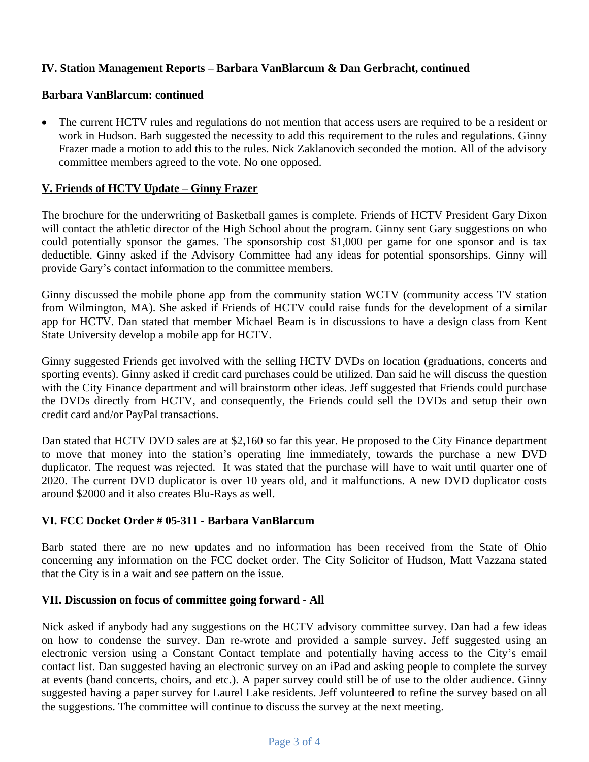## **IV. Station Management Reports – Barbara VanBlarcum & Dan Gerbracht, continued**

## **Barbara VanBlarcum: continued**

• The current HCTV rules and regulations do not mention that access users are required to be a resident or work in Hudson. Barb suggested the necessity to add this requirement to the rules and regulations. Ginny Frazer made a motion to add this to the rules. Nick Zaklanovich seconded the motion. All of the advisory committee members agreed to the vote. No one opposed.

## **V. Friends of HCTV Update – Ginny Frazer**

The brochure for the underwriting of Basketball games is complete. Friends of HCTV President Gary Dixon will contact the athletic director of the High School about the program. Ginny sent Gary suggestions on who could potentially sponsor the games. The sponsorship cost \$1,000 per game for one sponsor and is tax deductible. Ginny asked if the Advisory Committee had any ideas for potential sponsorships. Ginny will provide Gary's contact information to the committee members.

Ginny discussed the mobile phone app from the community station WCTV (community access TV station from Wilmington, MA). She asked if Friends of HCTV could raise funds for the development of a similar app for HCTV. Dan stated that member Michael Beam is in discussions to have a design class from Kent State University develop a mobile app for HCTV.

Ginny suggested Friends get involved with the selling HCTV DVDs on location (graduations, concerts and sporting events). Ginny asked if credit card purchases could be utilized. Dan said he will discuss the question with the City Finance department and will brainstorm other ideas. Jeff suggested that Friends could purchase the DVDs directly from HCTV, and consequently, the Friends could sell the DVDs and setup their own credit card and/or PayPal transactions.

Dan stated that HCTV DVD sales are at \$2,160 so far this year. He proposed to the City Finance department to move that money into the station's operating line immediately, towards the purchase a new DVD duplicator. The request was rejected. It was stated that the purchase will have to wait until quarter one of 2020. The current DVD duplicator is over 10 years old, and it malfunctions. A new DVD duplicator costs around \$2000 and it also creates Blu-Rays as well.

#### **VI. FCC Docket Order # 05-311 - Barbara VanBlarcum**

Barb stated there are no new updates and no information has been received from the State of Ohio concerning any information on the FCC docket order. The City Solicitor of Hudson, Matt Vazzana stated that the City is in a wait and see pattern on the issue.

## **VII. Discussion on focus of committee going forward - All**

Nick asked if anybody had any suggestions on the HCTV advisory committee survey. Dan had a few ideas on how to condense the survey. Dan re-wrote and provided a sample survey. Jeff suggested using an electronic version using a Constant Contact template and potentially having access to the City's email contact list. Dan suggested having an electronic survey on an iPad and asking people to complete the survey at events (band concerts, choirs, and etc.). A paper survey could still be of use to the older audience. Ginny suggested having a paper survey for Laurel Lake residents. Jeff volunteered to refine the survey based on all the suggestions. The committee will continue to discuss the survey at the next meeting.